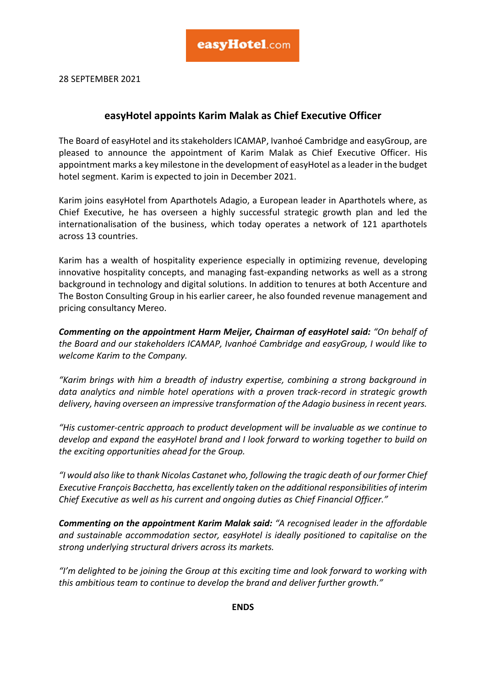28 SEPTEMBER 2021

## **easyHotel appoints Karim Malak as Chief Executive Officer**

The Board of easyHotel and its stakeholders ICAMAP, Ivanhoé Cambridge and easyGroup, are pleased to announce the appointment of Karim Malak as Chief Executive Officer. His appointment marks a key milestone in the development of easyHotel as a leader in the budget hotel segment. Karim is expected to join in December 2021.

Karim joins easyHotel from Aparthotels Adagio, a European leader in Aparthotels where, as Chief Executive, he has overseen a highly successful strategic growth plan and led the internationalisation of the business, which today operates a network of 121 aparthotels across 13 countries.

Karim has a wealth of hospitality experience especially in optimizing revenue, developing innovative hospitality concepts, and managing fast-expanding networks as well as a strong background in technology and digital solutions. In addition to tenures at both Accenture and The Boston Consulting Group in his earlier career, he also founded revenue management and pricing consultancy Mereo.

*Commenting on the appointment Harm Meijer, Chairman of easyHotel said: "On behalf of the Board and our stakeholders ICAMAP, Ivanhoé Cambridge and easyGroup, I would like to welcome Karim to the Company.* 

*"Karim brings with him a breadth of industry expertise, combining a strong background in data analytics and nimble hotel operations with a proven track-record in strategic growth delivery, having overseen an impressive transformation of the Adagio business in recent years.* 

*"His customer-centric approach to product development will be invaluable as we continue to develop and expand the easyHotel brand and I look forward to working together to build on the exciting opportunities ahead for the Group.* 

*"I would also like to thank Nicolas Castanet who, following the tragic death of our former Chief Executive François Bacchetta, has excellently taken on the additional responsibilities of interim Chief Executive as well as his current and ongoing duties as Chief Financial Officer."*

*Commenting on the appointment Karim Malak said: "A recognised leader in the affordable and sustainable accommodation sector, easyHotel is ideally positioned to capitalise on the strong underlying structural drivers across its markets.* 

*"I'm delighted to be joining the Group at this exciting time and look forward to working with this ambitious team to continue to develop the brand and deliver further growth."*